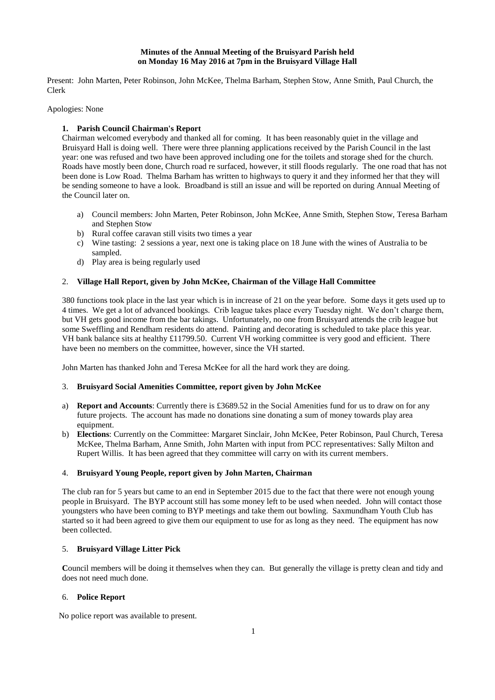## **Minutes of the Annual Meeting of the Bruisyard Parish held on Monday 16 May 2016 at 7pm in the Bruisyard Village Hall**

Present: John Marten, Peter Robinson, John McKee, Thelma Barham, Stephen Stow, Anne Smith, Paul Church, the Clerk

## Apologies: None

# **1. Parish Council Chairman's Report**

Chairman welcomed everybody and thanked all for coming. It has been reasonably quiet in the village and Bruisyard Hall is doing well. There were three planning applications received by the Parish Council in the last year: one was refused and two have been approved including one for the toilets and storage shed for the church. Roads have mostly been done, Church road re surfaced, however, it still floods regularly. The one road that has not been done is Low Road. Thelma Barham has written to highways to query it and they informed her that they will be sending someone to have a look. Broadband is still an issue and will be reported on during Annual Meeting of the Council later on.

- a) Council members: John Marten, Peter Robinson, John McKee, Anne Smith, Stephen Stow, Teresa Barham and Stephen Stow
- b) Rural coffee caravan still visits two times a year
- c) Wine tasting: 2 sessions a year, next one is taking place on 18 June with the wines of Australia to be sampled.
- d) Play area is being regularly used

## 2. **Village Hall Report, given by John McKee, Chairman of the Village Hall Committee**

380 functions took place in the last year which is in increase of 21 on the year before. Some days it gets used up to 4 times. We get a lot of advanced bookings. Crib league takes place every Tuesday night. We don't charge them, but VH gets good income from the bar takings. Unfortunately, no one from Bruisyard attends the crib league but some Sweffling and Rendham residents do attend. Painting and decorating is scheduled to take place this year. VH bank balance sits at healthy £11799.50. Current VH working committee is very good and efficient. There have been no members on the committee, however, since the VH started.

John Marten has thanked John and Teresa McKee for all the hard work they are doing.

## 3. **Bruisyard Social Amenities Committee, report given by John McKee**

- a) **Report and Accounts**: Currently there is £3689.52 in the Social Amenities fund for us to draw on for any future projects. The account has made no donations sine donating a sum of money towards play area equipment.
- b) **Elections**: Currently on the Committee: Margaret Sinclair, John McKee, Peter Robinson, Paul Church, Teresa McKee, Thelma Barham, Anne Smith, John Marten with input from PCC representatives: Sally Milton and Rupert Willis. It has been agreed that they committee will carry on with its current members.

### 4. **Bruisyard Young People, report given by John Marten, Chairman**

The club ran for 5 years but came to an end in September 2015 due to the fact that there were not enough young people in Bruisyard. The BYP account still has some money left to be used when needed. John will contact those youngsters who have been coming to BYP meetings and take them out bowling. Saxmundham Youth Club has started so it had been agreed to give them our equipment to use for as long as they need. The equipment has now been collected.

# 5. **Bruisyard Village Litter Pick**

**C**ouncil members will be doing it themselves when they can. But generally the village is pretty clean and tidy and does not need much done.

### 6. **Police Report**

No police report was available to present.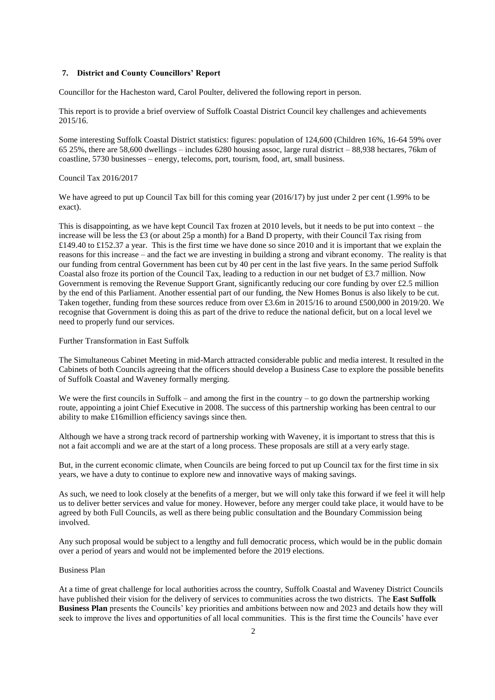#### **7. District and County Councillors' Report**

Councillor for the Hacheston ward, Carol Poulter, delivered the following report in person.

This report is to provide a brief overview of Suffolk Coastal District Council key challenges and achievements 2015/16.

Some interesting Suffolk Coastal District statistics: figures: population of 124,600 (Children 16%, 16-64 59% over 65 25%, there are 58,600 dwellings – includes 6280 housing assoc, large rural district – 88,938 hectares, 76km of coastline, 5730 businesses – energy, telecoms, port, tourism, food, art, small business.

## Council Tax 2016/2017

We have agreed to put up Council Tax bill for this coming year (2016/17) by just under 2 per cent (1.99% to be exact).

This is disappointing, as we have kept Council Tax frozen at 2010 levels, but it needs to be put into context – the increase will be less the £3 (or about 25p a month) for a Band D property, with their Council Tax rising from £149.40 to £152.37 a year. This is the first time we have done so since 2010 and it is important that we explain the reasons for this increase – and the fact we are investing in building a strong and vibrant economy. The reality is that our funding from central Government has been cut by 40 per cent in the last five years. In the same period Suffolk Coastal also froze its portion of the Council Tax, leading to a reduction in our net budget of £3.7 million. Now Government is removing the Revenue Support Grant, significantly reducing our core funding by over £2.5 million by the end of this Parliament. Another essential part of our funding, the New Homes Bonus is also likely to be cut. Taken together, funding from these sources reduce from over £3.6m in 2015/16 to around £500,000 in 2019/20. We recognise that Government is doing this as part of the drive to reduce the national deficit, but on a local level we need to properly fund our services.

## Further Transformation in East Suffolk

The Simultaneous Cabinet Meeting in mid-March attracted considerable public and media interest. It resulted in the Cabinets of both Councils agreeing that the officers should develop a Business Case to explore the possible benefits of Suffolk Coastal and Waveney formally merging.

We were the first councils in Suffolk – and among the first in the country – to go down the partnership working route, appointing a joint Chief Executive in 2008. The success of this partnership working has been central to our ability to make £16million efficiency savings since then.

Although we have a strong track record of partnership working with Waveney, it is important to stress that this is not a fait accompli and we are at the start of a long process. These proposals are still at a very early stage.

But, in the current economic climate, when Councils are being forced to put up Council tax for the first time in six years, we have a duty to continue to explore new and innovative ways of making savings.

As such, we need to look closely at the benefits of a merger, but we will only take this forward if we feel it will help us to deliver better services and value for money. However, before any merger could take place, it would have to be agreed by both Full Councils, as well as there being public consultation and the Boundary Commission being involved.

Any such proposal would be subject to a lengthy and full democratic process, which would be in the public domain over a period of years and would not be implemented before the 2019 elections.

# Business Plan

At a time of great challenge for local authorities across the country, Suffolk Coastal and Waveney District Councils have published their vision for the delivery of services to communities across the two districts. The **East Suffolk Business Plan** presents the Councils' key priorities and ambitions between now and 2023 and details how they will seek to improve the lives and opportunities of all local communities. This is the first time the Councils' have ever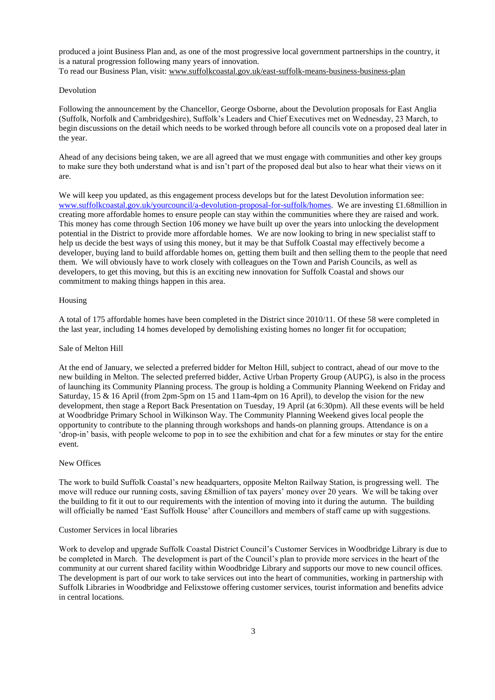produced a joint Business Plan and, as one of the most progressive local government partnerships in the country, it is a natural progression following many years of innovation. To read our Business Plan, visit: [www.suffolkcoastal.gov.uk/east-suffolk-means-business-business-plan](http://www.suffolkcoastal.gov.uk/east-suffolk-means-business-business-plan)

### Devolution

Following the announcement by the Chancellor, George Osborne, about the Devolution proposals for East Anglia (Suffolk, Norfolk and Cambridgeshire), Suffolk's Leaders and Chief Executives met on Wednesday, 23 March, to begin discussions on the detail which needs to be worked through before all councils vote on a proposed deal later in the year.

Ahead of any decisions being taken, we are all agreed that we must engage with communities and other key groups to make sure they both understand what is and isn't part of the proposed deal but also to hear what their views on it are.

We will keep you updated, as this engagement process develops but for the latest Devolution information see: [www.suffolkcoastal.gov.uk/yourcouncil/a-devolution-proposal-for-suffolk/homes.](http://www.suffolkcoastal.gov.uk/yourcouncil/a-devolution-proposal-for-suffolk/homes) We are investing £1.68million in creating more affordable homes to ensure people can stay within the communities where they are raised and work. This money has come through Section 106 money we have built up over the years into unlocking the development potential in the District to provide more affordable homes. We are now looking to bring in new specialist staff to help us decide the best ways of using this money, but it may be that Suffolk Coastal may effectively become a developer, buying land to build affordable homes on, getting them built and then selling them to the people that need them. We will obviously have to work closely with colleagues on the Town and Parish Councils, as well as developers, to get this moving, but this is an exciting new innovation for Suffolk Coastal and shows our commitment to making things happen in this area.

#### Housing

A total of 175 affordable homes have been completed in the District since 2010/11. Of these 58 were completed in the last year, including 14 homes developed by demolishing existing homes no longer fit for occupation;

#### Sale of Melton Hill

At the end of January, we selected a preferred bidder for Melton Hill, subject to contract, ahead of our move to the new building in Melton. The selected preferred bidder, Active Urban Property Group (AUPG), is also in the process of launching its Community Planning process. The group is holding a Community Planning Weekend on Friday and Saturday, 15 & 16 April (from 2pm-5pm on 15 and 11am-4pm on 16 April), to develop the vision for the new development, then stage a Report Back Presentation on Tuesday, 19 April (at 6:30pm). All these events will be held at Woodbridge Primary School in Wilkinson Way. The Community Planning Weekend gives local people the opportunity to contribute to the planning through workshops and hands-on planning groups. Attendance is on a 'drop-in' basis, with people welcome to pop in to see the exhibition and chat for a few minutes or stay for the entire event.

### New Offices

The work to build Suffolk Coastal's new headquarters, opposite Melton Railway Station, is progressing well. The move will reduce our running costs, saving £8million of tax payers' money over 20 years. We will be taking over the building to fit it out to our requirements with the intention of moving into it during the autumn. The building will officially be named 'East Suffolk House' after Councillors and members of staff came up with suggestions.

#### Customer Services in local libraries

Work to develop and upgrade Suffolk Coastal District Council's Customer Services in Woodbridge Library is due to be completed in March. The development is part of the Council's plan to provide more services in the heart of the community at our current shared facility within Woodbridge Library and supports our move to new council offices. The development is part of our work to take services out into the heart of communities, working in partnership with Suffolk Libraries in Woodbridge and Felixstowe offering customer services, tourist information and benefits advice in central locations.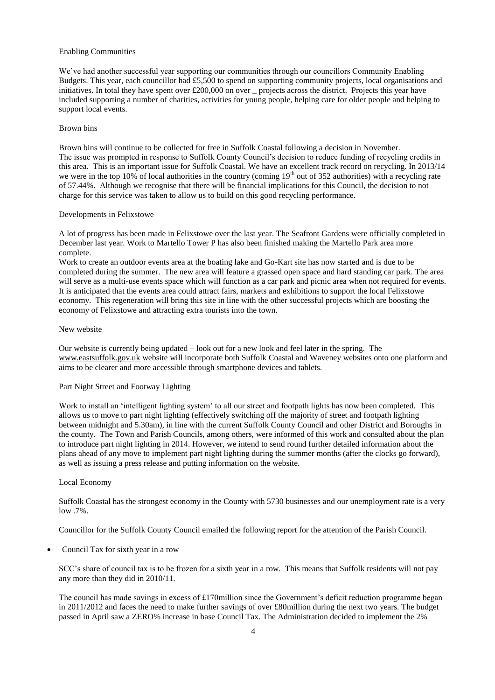### Enabling Communities

We've had another successful year supporting our communities through our councillors Community Enabling Budgets. This year, each councillor had £5,500 to spend on supporting community projects, local organisations and initiatives. In total they have spent over £200,000 on over \_ projects across the district. Projects this year have included supporting a number of charities, activities for young people, helping care for older people and helping to support local events.

#### Brown bins

Brown bins will continue to be collected for free in Suffolk Coastal following a decision in November. The issue was prompted in response to Suffolk County Council's decision to reduce funding of recycling credits in this area. This is an important issue for Suffolk Coastal. We have an excellent track record on recycling. In 2013/14 we were in the top 10% of local authorities in the country (coming 19<sup>th</sup> out of 352 authorities) with a recycling rate of 57.44%. Although we recognise that there will be financial implications for this Council, the decision to not charge for this service was taken to allow us to build on this good recycling performance.

### Developments in Felixstowe

A lot of progress has been made in Felixstowe over the last year. The Seafront Gardens were officially completed in December last year. Work to Martello Tower P has also been finished making the Martello Park area more complete.

Work to create an outdoor events area at the boating lake and Go-Kart site has now started and is due to be completed during the summer. The new area will feature a grassed open space and hard standing car park. The area will serve as a multi-use events space which will function as a car park and picnic area when not required for events. It is anticipated that the events area could attract fairs, markets and exhibitions to support the local Felixstowe economy. This regeneration will bring this site in line with the other successful projects which are boosting the economy of Felixstowe and attracting extra tourists into the town.

#### New website

Our website is currently being updated – look out for a new look and feel later in the spring. The [www.eastsuffolk.gov.uk](http://www.eastsuffolk.gov.uk/) website will incorporate both Suffolk Coastal and Waveney websites onto one platform and aims to be clearer and more accessible through smartphone devices and tablets.

# Part Night Street and Footway Lighting

Work to install an 'intelligent lighting system' to all our street and footpath lights has now been completed. This allows us to move to part night lighting (effectively switching off the majority of street and footpath lighting between midnight and 5.30am), in line with the current Suffolk County Council and other District and Boroughs in the county. The Town and Parish Councils, among others, were informed of this work and consulted about the plan to introduce part night lighting in 2014. However, we intend to send round further detailed information about the plans ahead of any move to implement part night lighting during the summer months (after the clocks go forward), as well as issuing a press release and putting information on the website.

## Local Economy

Suffolk Coastal has the strongest economy in the County with 5730 businesses and our unemployment rate is a very low .7%.

Councillor for the Suffolk County Council emailed the following report for the attention of the Parish Council.

Council Tax for sixth year in a row

SCC's share of council tax is to be frozen for a sixth year in a row. This means that Suffolk residents will not pay any more than they did in 2010/11.

The council has made savings in excess of £170million since the Government's deficit reduction programme began in 2011/2012 and faces the need to make further savings of over £80million during the next two years. The budget passed in April saw a ZERO% increase in base Council Tax. The Administration decided to implement the 2%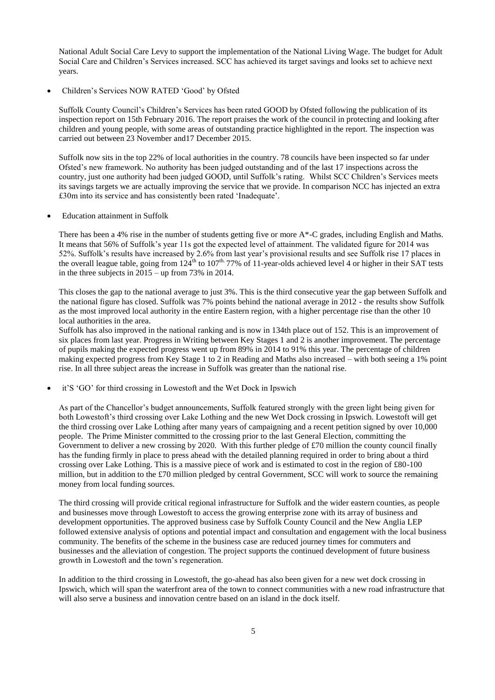National Adult Social Care Levy to support the implementation of the National Living Wage. The budget for Adult Social Care and Children's Services increased. SCC has achieved its target savings and looks set to achieve next years.

Children's Services NOW RATED 'Good' by Ofsted

Suffolk County Council's Children's Services has been rated GOOD by Ofsted following the publication of its inspection report on 15th February 2016. The report praises the work of the council in protecting and looking after children and young people, with some areas of outstanding practice highlighted in the report. The inspection was carried out between 23 November and17 December 2015.

Suffolk now sits in the top 22% of local authorities in the country. 78 councils have been inspected so far under Ofsted's new framework. No authority has been judged outstanding and of the last 17 inspections across the country, just one authority had been judged GOOD, until Suffolk's rating. Whilst SCC Children's Services meets its savings targets we are actually improving the service that we provide. In comparison NCC has injected an extra £30m into its service and has consistently been rated 'Inadequate'.

Education attainment in Suffolk

There has been a 4% rise in the number of students getting five or more A\*-C grades, including English and Maths. It means that 56% of Suffolk's year 11s got the expected level of attainment. The validated figure for 2014 was 52%. Suffolk's results have increased by 2.6% from last year's provisional results and see Suffolk rise 17 places in the overall league table, going from  $124^{th}$  to  $107^{th}$ . 77% of 11-year-olds achieved level 4 or higher in their SAT tests in the three subjects in  $2015 -$ up from 73% in 2014.

This closes the gap to the national average to just 3%. This is the third consecutive year the gap between Suffolk and the national figure has closed. Suffolk was 7% points behind the national average in 2012 - the results show Suffolk as the most improved local authority in the entire Eastern region, with a higher percentage rise than the other 10 local authorities in the area.

Suffolk has also improved in the national ranking and is now in 134th place out of 152. This is an improvement of six places from last year. Progress in Writing between Key Stages 1 and 2 is another improvement. The percentage of pupils making the expected progress went up from 89% in 2014 to 91% this year. The percentage of children making expected progress from Key Stage 1 to 2 in Reading and Maths also increased – with both seeing a 1% point rise. In all three subject areas the increase in Suffolk was greater than the national rise.

it'S 'GO' for third crossing in Lowestoft and the Wet Dock in Ipswich

As part of the Chancellor's budget announcements, Suffolk featured strongly with the green light being given for both Lowestoft's third crossing over Lake Lothing and the new Wet Dock crossing in Ipswich. Lowestoft will get the third crossing over Lake Lothing after many years of campaigning and a recent petition signed by over 10,000 people. The Prime Minister committed to the crossing prior to the last General Election, committing the Government to deliver a new crossing by 2020. With this further pledge of £70 million the county council finally has the funding firmly in place to press ahead with the detailed planning required in order to bring about a third crossing over Lake Lothing. This is a massive piece of work and is estimated to cost in the region of £80-100 million, but in addition to the £70 million pledged by central Government, SCC will work to source the remaining money from local funding sources.

The third crossing will provide critical regional infrastructure for Suffolk and the wider eastern counties, as people and businesses move through Lowestoft to access the growing enterprise zone with its array of business and development opportunities. The approved business case by Suffolk County Council and the New Anglia LEP followed extensive analysis of options and potential impact and consultation and engagement with the local business community. The benefits of the scheme in the business case are reduced journey times for commuters and businesses and the alleviation of congestion. The project supports the continued development of future business growth in Lowestoft and the town's regeneration.

In addition to the third crossing in Lowestoft, the go-ahead has also been given for a new wet dock crossing in Ipswich, which will span the waterfront area of the town to connect communities with a new road infrastructure that will also serve a business and innovation centre based on an island in the dock itself.